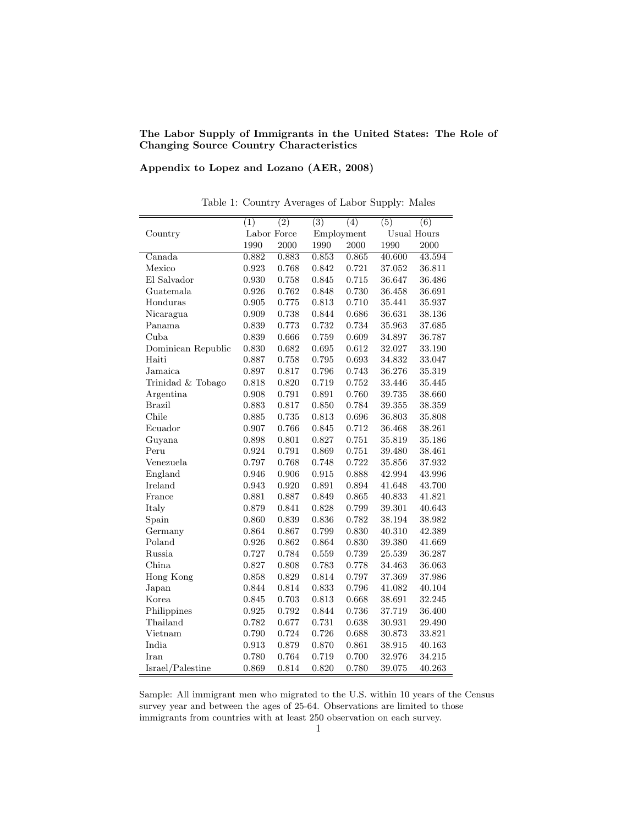The Labor Supply of Immigrants in the United States: The Role of Changing Source Country Characteristics

## Appendix to Lopez and Lozano (AER, 2008)

|                    | $\overline{(1)}$ | $\overline{(2)}$ | $\overline{(3)}$ | $\overline{(4)}$ | $\overline{(5)}$   | $\overline{(6)}$ |
|--------------------|------------------|------------------|------------------|------------------|--------------------|------------------|
| Country            | Labor Force      |                  | Employment       |                  | <b>Usual Hours</b> |                  |
|                    | 1990             | 2000             | 1990             | 2000             | 1990               | 2000             |
| Canada             | 0.882            | 0.883            | 0.853            | 0.865            | 40.600             | 43.594           |
| Mexico             | 0.923            | 0.768            | 0.842            | 0.721            | 37.052             | 36.811           |
| El Salvador        | 0.930            | 0.758            | 0.845            | 0.715            | 36.647             | 36.486           |
| Guatemala          | 0.926            | 0.762            | 0.848            | 0.730            | 36.458             | 36.691           |
| Honduras           | 0.905            | 0.775            | 0.813            | 0.710            | 35.441             | 35.937           |
| Nicaragua          | 0.909            | 0.738            | 0.844            | 0.686            | 36.631             | 38.136           |
| Panama             | 0.839            | 0.773            | 0.732            | 0.734            | 35.963             | 37.685           |
| Cuba               | 0.839            | 0.666            | 0.759            | 0.609            | 34.897             | 36.787           |
| Dominican Republic | 0.830            | 0.682            | 0.695            | 0.612            | 32.027             | 33.190           |
| Haiti              | 0.887            | 0.758            | 0.795            | 0.693            | 34.832             | 33.047           |
| Jamaica            | 0.897            | 0.817            | 0.796            | 0.743            | 36.276             | 35.319           |
| Trinidad & Tobago  | 0.818            | 0.820            | 0.719            | 0.752            | 33.446             | 35.445           |
| Argentina          | 0.908            | 0.791            | 0.891            | 0.760            | 39.735             | 38.660           |
| <b>Brazil</b>      | 0.883            | 0.817            | 0.850            | 0.784            | 39.355             | 38.359           |
| Chile              | 0.885            | 0.735            | 0.813            | 0.696            | 36.803             | 35.808           |
| Ecuador            | 0.907            | 0.766            | 0.845            | 0.712            | 36.468             | 38.261           |
| Guyana             | 0.898            | 0.801            | 0.827            | 0.751            | 35.819             | 35.186           |
| Peru               | 0.924            | 0.791            | 0.869            | 0.751            | 39.480             | 38.461           |
| Venezuela          | 0.797            | 0.768            | 0.748            | 0.722            | 35.856             | 37.932           |
| England            | 0.946            | 0.906            | 0.915            | 0.888            | 42.994             | 43.996           |
| Ireland            | 0.943            | 0.920            | 0.891            | 0.894            | 41.648             | 43.700           |
| France             | 0.881            | 0.887            | 0.849            | 0.865            | 40.833             | 41.821           |
| Italy              | 0.879            | 0.841            | 0.828            | 0.799            | 39.301             | 40.643           |
| Spain              | 0.860            | 0.839            | 0.836            | 0.782            | 38.194             | 38.982           |
| Germany            | 0.864            | 0.867            | 0.799            | 0.830            | 40.310             | 42.389           |
| Poland             | 0.926            | 0.862            | 0.864            | 0.830            | 39.380             | 41.669           |
| Russia             | 0.727            | 0.784            | 0.559            | 0.739            | 25.539             | 36.287           |
| China              | 0.827            | 0.808            | 0.783            | 0.778            | 34.463             | 36.063           |
| Hong Kong          | 0.858            | 0.829            | 0.814            | 0.797            | 37.369             | 37.986           |
| Japan              | 0.844            | 0.814            | 0.833            | 0.796            | 41.082             | 40.104           |
| Korea              | 0.845            | 0.703            | 0.813            | 0.668            | 38.691             | 32.245           |
| Philippines        | 0.925            | 0.792            | 0.844            | 0.736            | 37.719             | 36.400           |
| Thailand           | 0.782            | 0.677            | 0.731            | 0.638            | 30.931             | 29.490           |
| Vietnam            | 0.790            | $0.724\,$        | 0.726            | 0.688            | 30.873             | 33.821           |
| India              | 0.913            | 0.879            | 0.870            | 0.861            | 38.915             | 40.163           |
| Iran               | 0.780            | 0.764            | 0.719            | 0.700            | 32.976             | 34.215           |
| Israel/Palestine   | 0.869            | 0.814            | 0.820            | 0.780            | 39.075             | 40.263           |

Table 1: Country Averages of Labor Supply: Males

Sample: All immigrant men who migrated to the U.S. within 10 years of the Census survey year and between the ages of 25-64. Observations are limited to those immigrants from countries with at least 250 observation on each survey.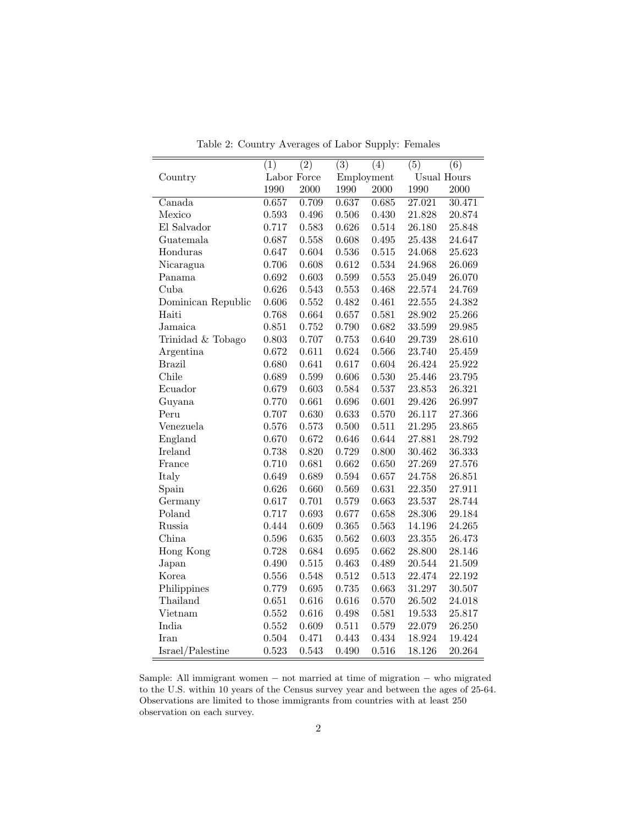|                    | $\overline{(1)}$ | $\overline{(2)}$ | $\overline{(3)}$ | $\overline{(4)}$ | $\overline{(5)}$ | $\overline{(6)}$   |
|--------------------|------------------|------------------|------------------|------------------|------------------|--------------------|
| Country            |                  | Labor Force      |                  | Employment       |                  | <b>Usual Hours</b> |
|                    | 1990             | 2000             | 1990             | 2000             | 1990             | 2000               |
| Canada             | 0.657            | 0.709            | 0.637            | 0.685            | 27.021           | 30.471             |
| Mexico             | 0.593            | 0.496            | 0.506            | 0.430            | 21.828           | 20.874             |
| El Salvador        | 0.717            | 0.583            | 0.626            | 0.514            | 26.180           | 25.848             |
| Guatemala          | 0.687            | 0.558            | 0.608            | 0.495            | $25.438\,$       | 24.647             |
| Honduras           | 0.647            | 0.604            | 0.536            | 0.515            | 24.068           | 25.623             |
| Nicaragua          | 0.706            | 0.608            | 0.612            | 0.534            | 24.968           | 26.069             |
| Panama             | 0.692            | 0.603            | 0.599            | 0.553            | 25.049           | 26.070             |
| Cuba               | 0.626            | 0.543            | 0.553            | 0.468            | 22.574           | 24.769             |
| Dominican Republic | 0.606            | 0.552            | 0.482            | 0.461            | 22.555           | 24.382             |
| Haiti              | 0.768            | 0.664            | 0.657            | 0.581            | 28.902           | 25.266             |
| Jamaica            | 0.851            | 0.752            | 0.790            | 0.682            | 33.599           | $29.985\,$         |
| Trinidad & Tobago  | 0.803            | 0.707            | 0.753            | 0.640            | 29.739           | 28.610             |
| Argentina          | 0.672            | 0.611            | 0.624            | 0.566            | 23.740           | 25.459             |
| <b>Brazil</b>      | 0.680            | 0.641            | 0.617            | 0.604            | 26.424           | 25.922             |
| Chile              | 0.689            | 0.599            | 0.606            | 0.530            | 25.446           | $23.795\,$         |
| Ecuador            | 0.679            | 0.603            | 0.584            | 0.537            | 23.853           | 26.321             |
| Guyana             | 0.770            | 0.661            | 0.696            | 0.601            | 29.426           | 26.997             |
| Peru               | 0.707            | 0.630            | 0.633            | 0.570            | 26.117           | 27.366             |
| Venezuela          | 0.576            | 0.573            | 0.500            | 0.511            | 21.295           | 23.865             |
| England            | 0.670            | $0.672\,$        | 0.646            | 0.644            | 27.881           | 28.792             |
| Ireland            | 0.738            | 0.820            | 0.729            | 0.800            | 30.462           | 36.333             |
| France             | 0.710            | 0.681            | 0.662            | 0.650            | 27.269           | 27.576             |
| Italy              | 0.649            | 0.689            | 0.594            | 0.657            | 24.758           | 26.851             |
| Spain              | 0.626            | 0.660            | 0.569            | 0.631            | 22.350           | 27.911             |
| Germany            | 0.617            | 0.701            | 0.579            | 0.663            | $23.537\,$       | 28.744             |
| Poland             | 0.717            | 0.693            | 0.677            | 0.658            | 28.306           | 29.184             |
| Russia             | 0.444            | 0.609            | 0.365            | 0.563            | 14.196           | 24.265             |
| China              | 0.596            | 0.635            | 0.562            | 0.603            | 23.355           | 26.473             |
| Hong Kong          | 0.728            | 0.684            | 0.695            | 0.662            | 28.800           | 28.146             |
| Japan              | 0.490            | $0.515\,$        | 0.463            | 0.489            | 20.544           | 21.509             |
| Korea              | 0.556            | 0.548            | 0.512            | 0.513            | 22.474           | 22.192             |
| Philippines        | 0.779            | $\,0.695\,$      | 0.735            | 0.663            | $31.297\,$       | 30.507             |
| Thailand           | 0.651            | $0.616\,$        | 0.616            | 0.570            | 26.502           | 24.018             |
| Vietnam            | 0.552            | 0.616            | 0.498            | 0.581            | 19.533           | 25.817             |
| India              | 0.552            | 0.609            | 0.511            | 0.579            | 22.079           | 26.250             |
| Iran               | 0.504            | 0.471            | 0.443            | 0.434            | 18.924           | 19.424             |
| Israel/Palestine   | 0.523            | 0.543            | 0.490            | 0.516            | 18.126           | 20.264             |

Table 2: Country Averages of Labor Supply: Females

Sample: All immigrant women − not married at time of migration − who migrated to the U.S. within 10 years of the Census survey year and between the ages of 25-64. Observations are limited to those immigrants from countries with at least 250 observation on each survey.